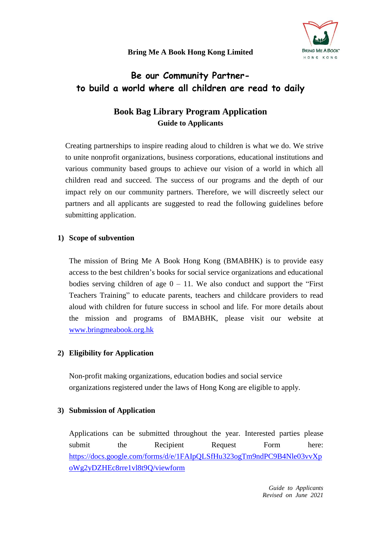# **Bring Me A Book Hong Kong Limited**



# **Be our Community Partnerto build a world where all children are read to daily**

# **Book Bag Library Program Application Guide to Applicants**

Creating partnerships to inspire reading aloud to children is what we do. We strive to unite nonprofit organizations, business corporations, educational institutions and various community based groups to achieve our vision of a world in which all children read and succeed. The success of our programs and the depth of our impact rely on our community partners. Therefore, we will discreetly select our partners and all applicants are suggested to read the following guidelines before submitting application.

## **1) Scope of subvention**

The mission of Bring Me A Book Hong Kong (BMABHK) is to provide easy access to the best children's books for social service organizations and educational bodies serving children of age  $0 - 11$ . We also conduct and support the "First" Teachers Training" to educate parents, teachers and childcare providers to read aloud with children for future success in school and life. For more details about the mission and programs of BMABHK, please visit our website at [www.bringmeabook.org.hk](http://www.bringmeabook.org.hk/)

## **2) Eligibility for Application**

Non-profit making organizations, education bodies and social service organizations registered under the laws of Hong Kong are eligible to apply.

## **3) Submission of Application**

Applications can be submitted throughout the year. Interested parties please submit the Recipient Request Form here: [https://docs.google.com/forms/d/e/1FAIpQLSfHu323ogTm9ndPC9B4Nle03vvXp](https://docs.google.com/forms/d/e/1FAIpQLSfHu323ogTm9ndPC9B4Nle03vvXpoWg2yDZHEc8rre1vl8t9Q/viewform) [oWg2yDZHEc8rre1vl8t9Q/viewform](https://docs.google.com/forms/d/e/1FAIpQLSfHu323ogTm9ndPC9B4Nle03vvXpoWg2yDZHEc8rre1vl8t9Q/viewform)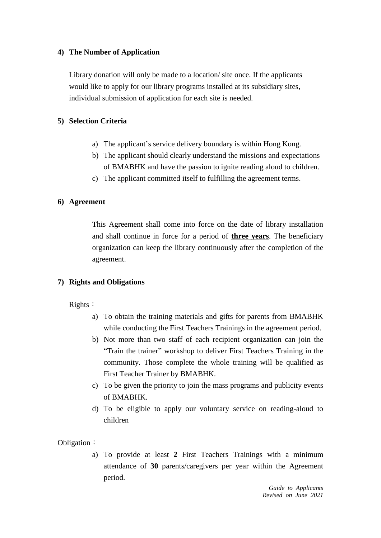## **4) The Number of Application**

Library donation will only be made to a location/ site once. If the applicants would like to apply for our library programs installed at its subsidiary sites, individual submission of application for each site is needed.

#### **5) Selection Criteria**

- a) The applicant's service delivery boundary is within Hong Kong.
- b) The applicant should clearly understand the missions and expectations of BMABHK and have the passion to ignite reading aloud to children.
- c) The applicant committed itself to fulfilling the agreement terms.

#### **6) Agreement**

This Agreement shall come into force on the date of library installation and shall continue in force for a period of **three years**. The beneficiary organization can keep the library continuously after the completion of the agreement.

#### **7) Rights and Obligations**

Rights:

- a) To obtain the training materials and gifts for parents from BMABHK while conducting the First Teachers Trainings in the agreement period.
- b) Not more than two staff of each recipient organization can join the "Train the trainer" workshop to deliver First Teachers Training in the community. Those complete the whole training will be qualified as First Teacher Trainer by BMABHK.
- c) To be given the priority to join the mass programs and publicity events of BMABHK.
- d) To be eligible to apply our voluntary service on reading-aloud to children

Obligation:

a) To provide at least **2** First Teachers Trainings with a minimum attendance of **30** parents/caregivers per year within the Agreement period.